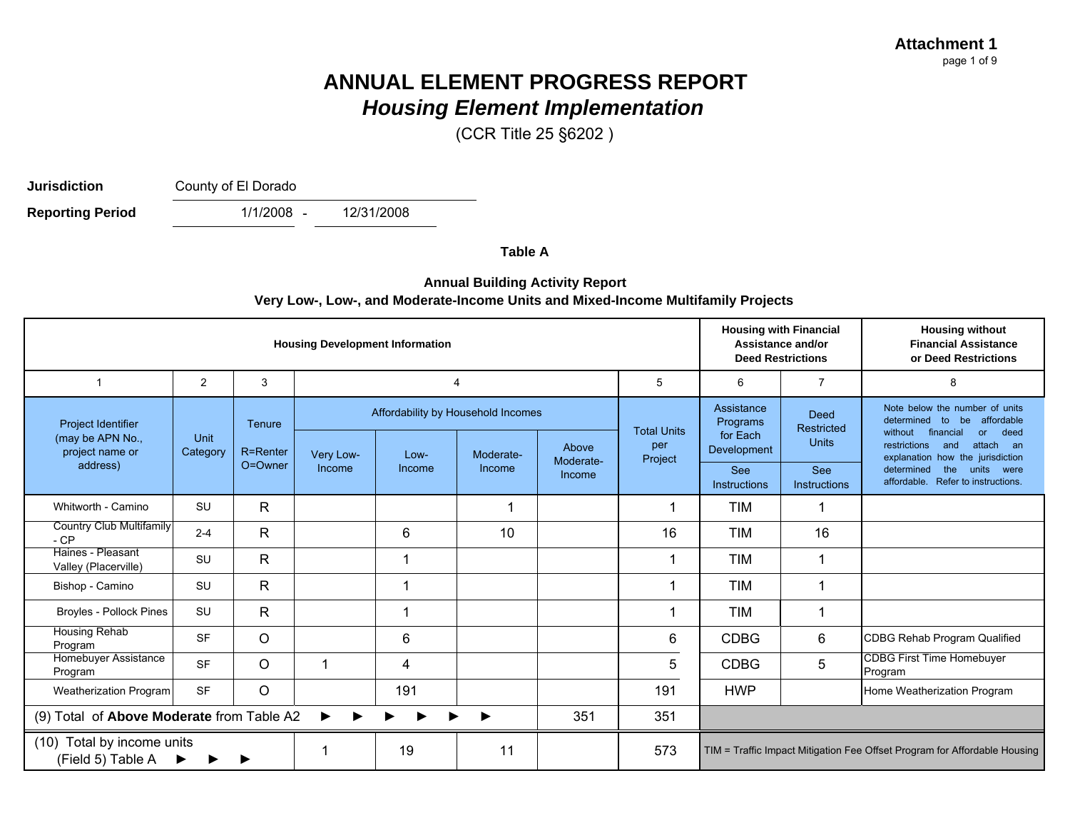(CCR Title 25 §6202 )

**Jurisdiction**

County of El Dorado

 $1/1/2008 -$ **Reporting Period** 12/31/2008

**Table A**

#### **Annual Building Activity Report Very Low-, Low-, and Moderate-Income Units and Mixed-Income Multifamily Projects**

| <b>Housing Development Information</b>                           |                  |                    |           |                                              |           |                    |                                      | <b>Housing with Financial</b><br>Assistance and/or<br><b>Deed Restrictions</b> |                                                  | <b>Housing without</b><br><b>Financial Assistance</b><br>or Deed Restrictions                                                                                                                  |
|------------------------------------------------------------------|------------------|--------------------|-----------|----------------------------------------------|-----------|--------------------|--------------------------------------|--------------------------------------------------------------------------------|--------------------------------------------------|------------------------------------------------------------------------------------------------------------------------------------------------------------------------------------------------|
| 1                                                                | 2                | 3                  |           | $\overline{4}$                               |           |                    | 5                                    | 6                                                                              | $\overline{7}$                                   | 8                                                                                                                                                                                              |
| <b>Project Identifier</b><br>(may be APN No.,<br>project name or | Unit<br>Category | Tenure<br>R=Renter | Very Low- | Affordability by Household Incomes<br>$Low-$ | Moderate- | Above<br>Moderate- | <b>Total Units</b><br>per<br>Project | Assistance<br>Programs<br>for Each<br>Development                              | <b>Deed</b><br><b>Restricted</b><br><b>Units</b> | Note below the number of units<br>determined<br>affordable<br>to<br>be<br>financial<br>deed<br>without<br><b>or</b><br>attach<br>restrictions<br>and<br>an<br>explanation how the jurisdiction |
| address)                                                         |                  | O=Owner            | Income    | Income                                       | Income    | Income             |                                      | See<br><b>Instructions</b>                                                     | <b>See</b><br><b>Instructions</b>                | determined<br>the<br>units were<br>affordable. Refer to instructions.                                                                                                                          |
| Whitworth - Camino                                               | <b>SU</b>        | R                  |           |                                              | 1         |                    |                                      | <b>TIM</b>                                                                     |                                                  |                                                                                                                                                                                                |
| <b>Country Club Multifamily</b><br>$-CP$                         | $2 - 4$          | $\mathsf{R}$       |           | 6                                            | 10        |                    | 16                                   | <b>TIM</b>                                                                     | 16                                               |                                                                                                                                                                                                |
| Haines - Pleasant<br>Valley (Placerville)                        | <b>SU</b>        | $\mathsf{R}$       |           |                                              |           |                    |                                      | <b>TIM</b>                                                                     | 1                                                |                                                                                                                                                                                                |
| Bishop - Camino                                                  | <b>SU</b>        | $\mathsf{R}$       |           |                                              |           |                    |                                      | <b>TIM</b>                                                                     | 1                                                |                                                                                                                                                                                                |
| Broyles - Pollock Pines                                          | <b>SU</b>        | R                  |           |                                              |           |                    |                                      | <b>TIM</b>                                                                     | 1                                                |                                                                                                                                                                                                |
| Housing Rehab<br>Program                                         | <b>SF</b>        | $\circ$            |           | 6                                            |           |                    | 6                                    | <b>CDBG</b>                                                                    | 6                                                | CDBG Rehab Program Qualified                                                                                                                                                                   |
| Homebuyer Assistance<br>Program                                  | <b>SF</b>        | $\circ$            |           | 4                                            |           |                    | 5                                    | <b>CDBG</b>                                                                    | 5                                                | <b>CDBG First Time Homebuyer</b><br>Program                                                                                                                                                    |
| Weatherization Program                                           | <b>SF</b>        | $\circ$            |           | 191                                          |           |                    | 191                                  | <b>HWP</b>                                                                     |                                                  | Home Weatherization Program                                                                                                                                                                    |
| (9) Total of Above Moderate from Table A2                        |                  |                    | ▶<br>▶    |                                              |           | 351                | 351                                  |                                                                                |                                                  |                                                                                                                                                                                                |
| (10) Total by income units<br>(Field 5) Table A                  |                  | 19                 | 11        |                                              | 573       |                    |                                      | TIM = Traffic Impact Mitigation Fee Offset Program for Affordable Housing      |                                                  |                                                                                                                                                                                                |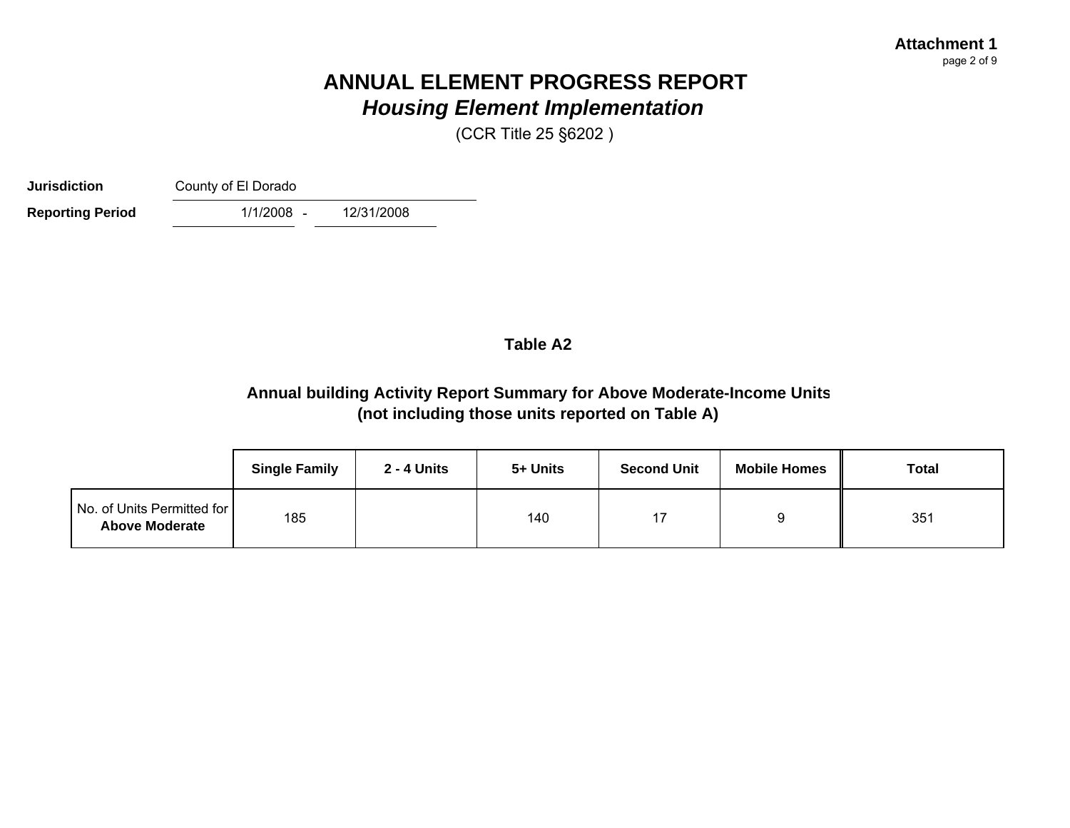(CCR Title 25 §6202 )

**Jurisdiction**County of El Dorado

 $1/1/2008 -$ **Reporting Period** 1/1/2008 - 12/31/2008

### **Table A2**

### **Annual building Activity Report Summary for Above Moderate-Income Units (not including those units reported on Table A)**

|                                                     | <b>Single Family</b> | 2 - 4 Units | 5+ Units | <b>Second Unit</b> | <b>Mobile Homes</b> | <b>Total</b> |
|-----------------------------------------------------|----------------------|-------------|----------|--------------------|---------------------|--------------|
| No. of Units Permitted for<br><b>Above Moderate</b> | 185                  |             | 140      | 17                 |                     | 351          |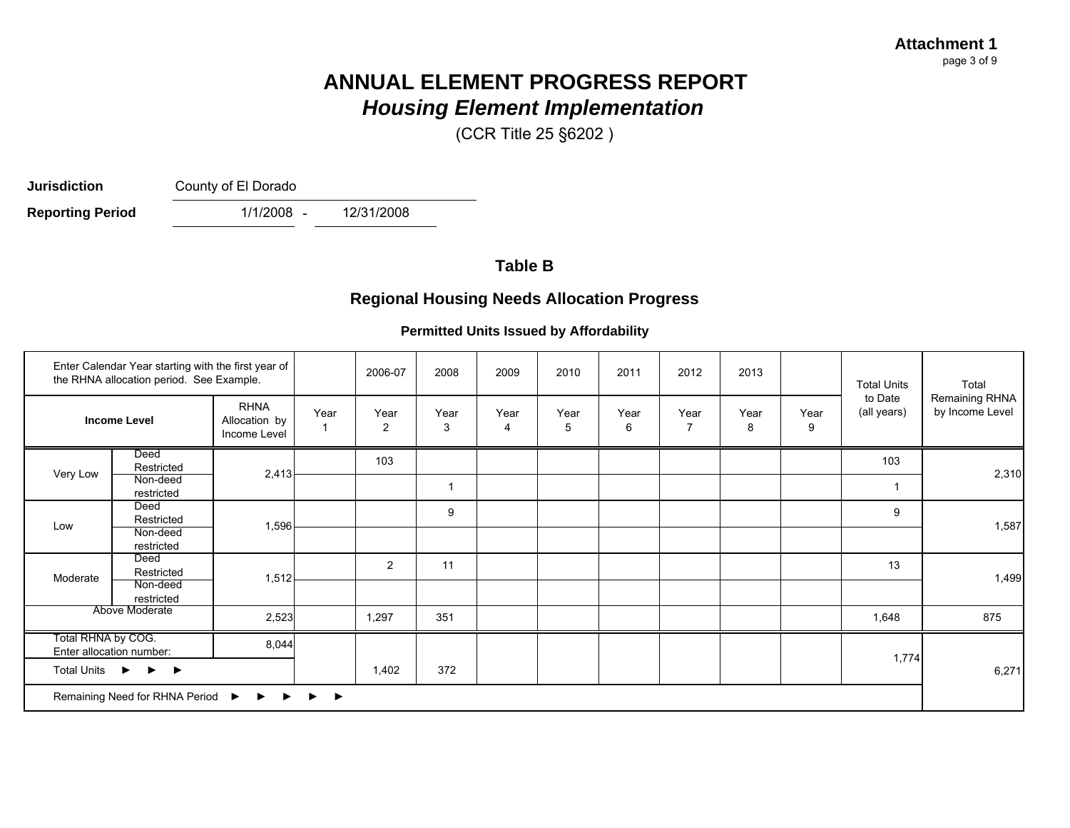(CCR Title 25 §6202 )

**Jurisdiction**

County of El Dorado

- **Reporting Period** 1/1/2008 - 12/31/2008

### **Table B**

### **Regional Housing Needs Allocation Progress**

#### **Permitted Units Issued by Affordability**

| Enter Calendar Year starting with the first year of<br>the RHNA allocation period. See Example.                                             |                        |                                              | 2006-07 | 2008           | 2009         | 2010      | 2011      | 2012      | 2013 |           | <b>Total Units</b> | Total                  |                                   |
|---------------------------------------------------------------------------------------------------------------------------------------------|------------------------|----------------------------------------------|---------|----------------|--------------|-----------|-----------|-----------|------|-----------|--------------------|------------------------|-----------------------------------|
|                                                                                                                                             | <b>Income Level</b>    | <b>RHNA</b><br>Allocation by<br>Income Level | Year    | Year<br>2      | Year<br>3    | Year<br>4 | Year<br>5 | Year<br>6 | Year | Year<br>8 | Year<br>9          | to Date<br>(all years) | Remaining RHNA<br>by Income Level |
|                                                                                                                                             | Deed<br>Restricted     |                                              |         | 103            |              |           |           |           |      |           |                    | 103                    |                                   |
|                                                                                                                                             | Non-deed<br>restricted | 2,413                                        |         |                | $\mathbf{1}$ |           |           |           |      |           |                    | $\mathbf{1}$           | 2,310                             |
|                                                                                                                                             | Deed<br>Restricted     | 1,596                                        |         |                | 9            |           |           |           |      |           |                    | 9                      | 1,587                             |
|                                                                                                                                             | Non-deed<br>restricted |                                              |         |                |              |           |           |           |      |           |                    |                        |                                   |
|                                                                                                                                             | Deed<br>Restricted     | 1,512                                        |         | $\overline{2}$ | 11           |           |           |           |      |           |                    | 13                     | 1,499                             |
| Very Low<br>Low<br>Moderate                                                                                                                 | Non-deed<br>restricted |                                              |         |                |              |           |           |           |      |           |                    |                        |                                   |
| Above Moderate                                                                                                                              |                        | 2,523                                        |         | 1,297          | 351          |           |           |           |      |           |                    | 1,648                  | 875                               |
| Total RHNA by COG.<br>Enter allocation number:<br>Total Units $\rightarrow$ $\rightarrow$ $\rightarrow$<br>Remaining Need for RHNA Period ▶ |                        | 8,044                                        |         |                |              |           |           |           |      |           |                    |                        |                                   |
|                                                                                                                                             |                        |                                              |         | 1,402          | 372          |           |           |           |      |           |                    | 1,774                  | 6,271                             |
|                                                                                                                                             |                        | ▶                                            |         |                |              |           |           |           |      |           |                    |                        |                                   |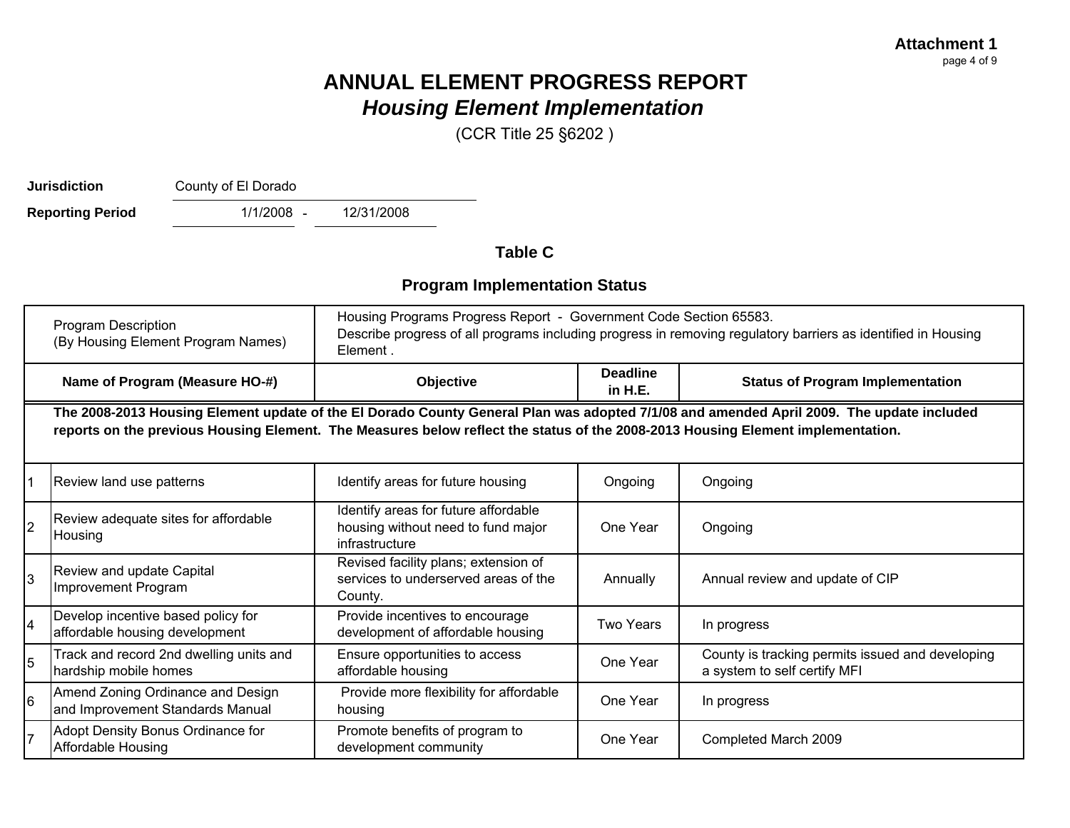(CCR Title 25 §6202 )

**Jurisdiction**

County of El Dorado

 $1/1/2008 -$ **Reporting Period** 1/1/2008 - 12/31/2008

**Table C**

### **Program Implementation Status**

|                | <b>Program Description</b><br>(By Housing Element Program Names)                                                                                                                                                                                                            | Housing Programs Progress Report - Government Code Section 65583.<br>Describe progress of all programs including progress in removing regulatory barriers as identified in Housing<br>Element. |                            |                                                                                  |  |  |  |  |  |
|----------------|-----------------------------------------------------------------------------------------------------------------------------------------------------------------------------------------------------------------------------------------------------------------------------|------------------------------------------------------------------------------------------------------------------------------------------------------------------------------------------------|----------------------------|----------------------------------------------------------------------------------|--|--|--|--|--|
|                | Name of Program (Measure HO-#)                                                                                                                                                                                                                                              | Objective                                                                                                                                                                                      | <b>Deadline</b><br>in H.E. | <b>Status of Program Implementation</b>                                          |  |  |  |  |  |
|                | The 2008-2013 Housing Element update of the El Dorado County General Plan was adopted 7/1/08 and amended April 2009. The update included<br>reports on the previous Housing Element. The Measures below reflect the status of the 2008-2013 Housing Element implementation. |                                                                                                                                                                                                |                            |                                                                                  |  |  |  |  |  |
| 1              | Review land use patterns                                                                                                                                                                                                                                                    | Identify areas for future housing                                                                                                                                                              | Ongoing                    | Ongoing                                                                          |  |  |  |  |  |
| $\overline{2}$ | Review adequate sites for affordable<br>Housing                                                                                                                                                                                                                             | Identify areas for future affordable<br>housing without need to fund major<br>infrastructure                                                                                                   | One Year                   | Ongoing                                                                          |  |  |  |  |  |
| l3             | Review and update Capital<br>Improvement Program                                                                                                                                                                                                                            | Revised facility plans; extension of<br>services to underserved areas of the<br>County.                                                                                                        | Annually                   | Annual review and update of CIP                                                  |  |  |  |  |  |
| $\overline{4}$ | Develop incentive based policy for<br>affordable housing development                                                                                                                                                                                                        | Provide incentives to encourage<br>development of affordable housing                                                                                                                           | <b>Two Years</b>           | In progress                                                                      |  |  |  |  |  |
| $\overline{5}$ | Track and record 2nd dwelling units and<br>hardship mobile homes                                                                                                                                                                                                            | Ensure opportunities to access<br>affordable housing                                                                                                                                           | One Year                   | County is tracking permits issued and developing<br>a system to self certify MFI |  |  |  |  |  |
| l6             | Amend Zoning Ordinance and Design<br>and Improvement Standards Manual                                                                                                                                                                                                       | Provide more flexibility for affordable<br>housing                                                                                                                                             | One Year                   | In progress                                                                      |  |  |  |  |  |
| 17             | Adopt Density Bonus Ordinance for<br>Affordable Housing                                                                                                                                                                                                                     | Promote benefits of program to<br>development community                                                                                                                                        | One Year                   | Completed March 2009                                                             |  |  |  |  |  |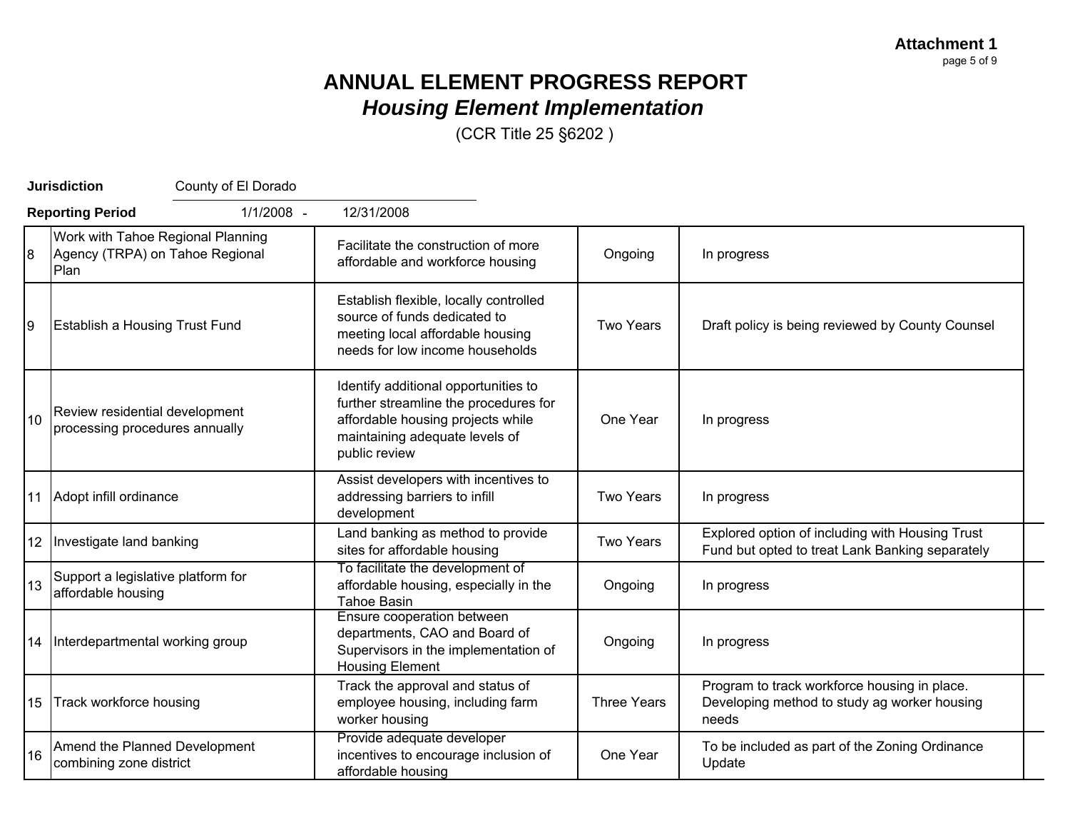**Attachment 1** page 5 of 9

## **ANNUAL ELEMENT PROGRESS REPORT** *Housing Element Implementation*

|                | <b>Jurisdiction</b>                                                          | County of El Dorado      |                                                                                                                                                      |                    |                                                                                                       |
|----------------|------------------------------------------------------------------------------|--------------------------|------------------------------------------------------------------------------------------------------------------------------------------------------|--------------------|-------------------------------------------------------------------------------------------------------|
|                | <b>Reporting Period</b>                                                      | 1/1/2008 -<br>12/31/2008 |                                                                                                                                                      |                    |                                                                                                       |
| $\overline{8}$ | Work with Tahoe Regional Planning<br>Agency (TRPA) on Tahoe Regional<br>Plan |                          | Facilitate the construction of more<br>affordable and workforce housing                                                                              | Ongoing            | In progress                                                                                           |
| 9              | <b>Establish a Housing Trust Fund</b>                                        |                          | Establish flexible, locally controlled<br>source of funds dedicated to<br>meeting local affordable housing<br>needs for low income households        | Two Years          | Draft policy is being reviewed by County Counsel                                                      |
| 10             | Review residential development<br>processing procedures annually             | public review            | Identify additional opportunities to<br>further streamline the procedures for<br>affordable housing projects while<br>maintaining adequate levels of | One Year           | In progress                                                                                           |
|                | 11 Adopt infill ordinance                                                    | development              | Assist developers with incentives to<br>addressing barriers to infill                                                                                | <b>Two Years</b>   | In progress                                                                                           |
|                | 12   Investigate land banking                                                |                          | Land banking as method to provide<br>sites for affordable housing                                                                                    | <b>Two Years</b>   | Explored option of including with Housing Trust<br>Fund but opted to treat Lank Banking separately    |
| 13             | Support a legislative platform for<br>affordable housing                     | <b>Tahoe Basin</b>       | To facilitate the development of<br>affordable housing, especially in the                                                                            | Ongoing            | In progress                                                                                           |
|                | 14 Interdepartmental working group                                           |                          | Ensure cooperation between<br>departments, CAO and Board of<br>Supervisors in the implementation of<br><b>Housing Element</b>                        | Ongoing            | In progress                                                                                           |
|                | 15 Track workforce housing                                                   | worker housing           | Track the approval and status of<br>employee housing, including farm                                                                                 | <b>Three Years</b> | Program to track workforce housing in place.<br>Developing method to study ag worker housing<br>needs |
| 16             | Amend the Planned Development<br>combining zone district                     |                          | Provide adequate developer<br>incentives to encourage inclusion of<br>affordable housing                                                             | One Year           | To be included as part of the Zoning Ordinance<br>Update                                              |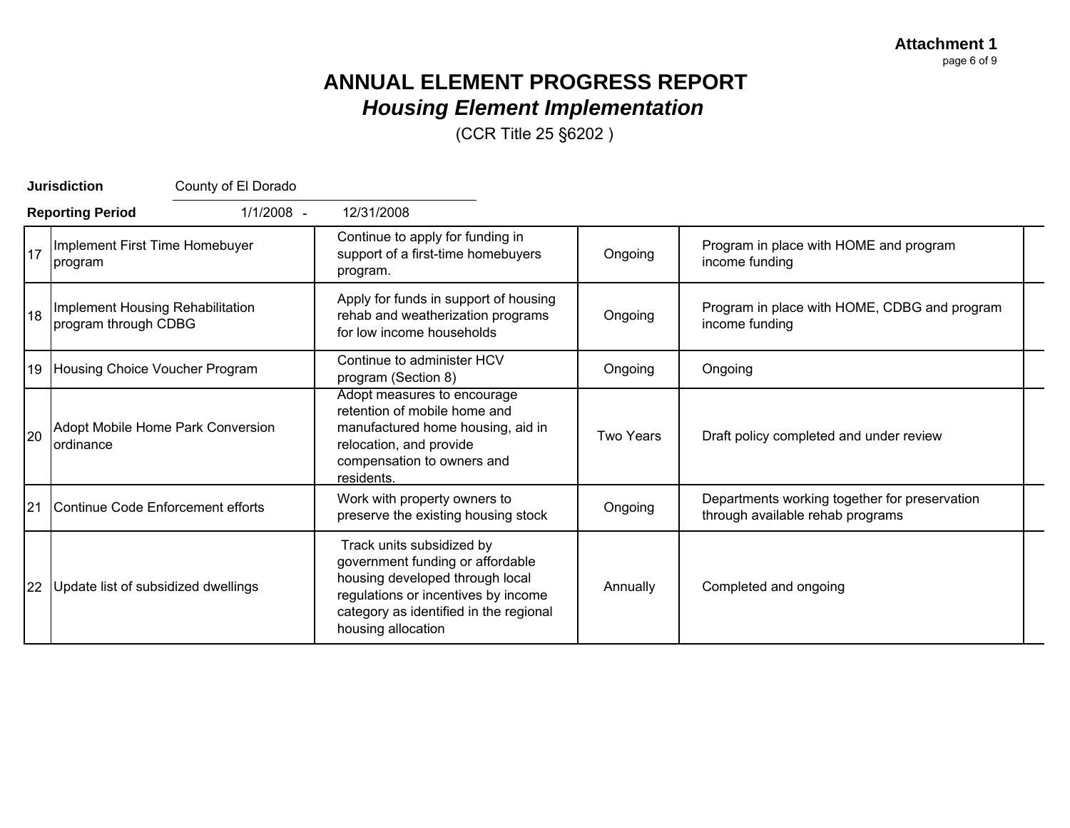**Attachment 1** page 6 of 9

# **ANNUAL ELEMENT PROGRESS REPORT** *Housing Element Implementation*

|    | <b>Jurisdiction</b><br>County of El Dorado               |                                                                                                                                                                                                         |                  |                                                                                   |
|----|----------------------------------------------------------|---------------------------------------------------------------------------------------------------------------------------------------------------------------------------------------------------------|------------------|-----------------------------------------------------------------------------------|
|    | 1/1/2008 -<br><b>Reporting Period</b>                    | 12/31/2008                                                                                                                                                                                              |                  |                                                                                   |
| 17 | Implement First Time Homebuyer<br>program                | Continue to apply for funding in<br>support of a first-time homebuyers<br>program.                                                                                                                      | Ongoing          | Program in place with HOME and program<br>income funding                          |
| 18 | Implement Housing Rehabilitation<br>program through CDBG | Apply for funds in support of housing<br>rehab and weatherization programs<br>for low income households                                                                                                 | Ongoing          | Program in place with HOME, CDBG and program<br>income funding                    |
|    | 19 Housing Choice Voucher Program                        | Continue to administer HCV<br>program (Section 8)                                                                                                                                                       | Ongoing          | Ongoing                                                                           |
| 20 | Adopt Mobile Home Park Conversion<br><b>lordinance</b>   | Adopt measures to encourage<br>retention of mobile home and<br>manufactured home housing, aid in<br>relocation, and provide<br>compensation to owners and<br>residents.                                 | <b>Two Years</b> | Draft policy completed and under review                                           |
| 21 | Continue Code Enforcement efforts                        | Work with property owners to<br>preserve the existing housing stock                                                                                                                                     | Ongoing          | Departments working together for preservation<br>through available rehab programs |
| 22 | Update list of subsidized dwellings                      | Track units subsidized by<br>government funding or affordable<br>housing developed through local<br>regulations or incentives by income<br>category as identified in the regional<br>housing allocation | Annually         | Completed and ongoing                                                             |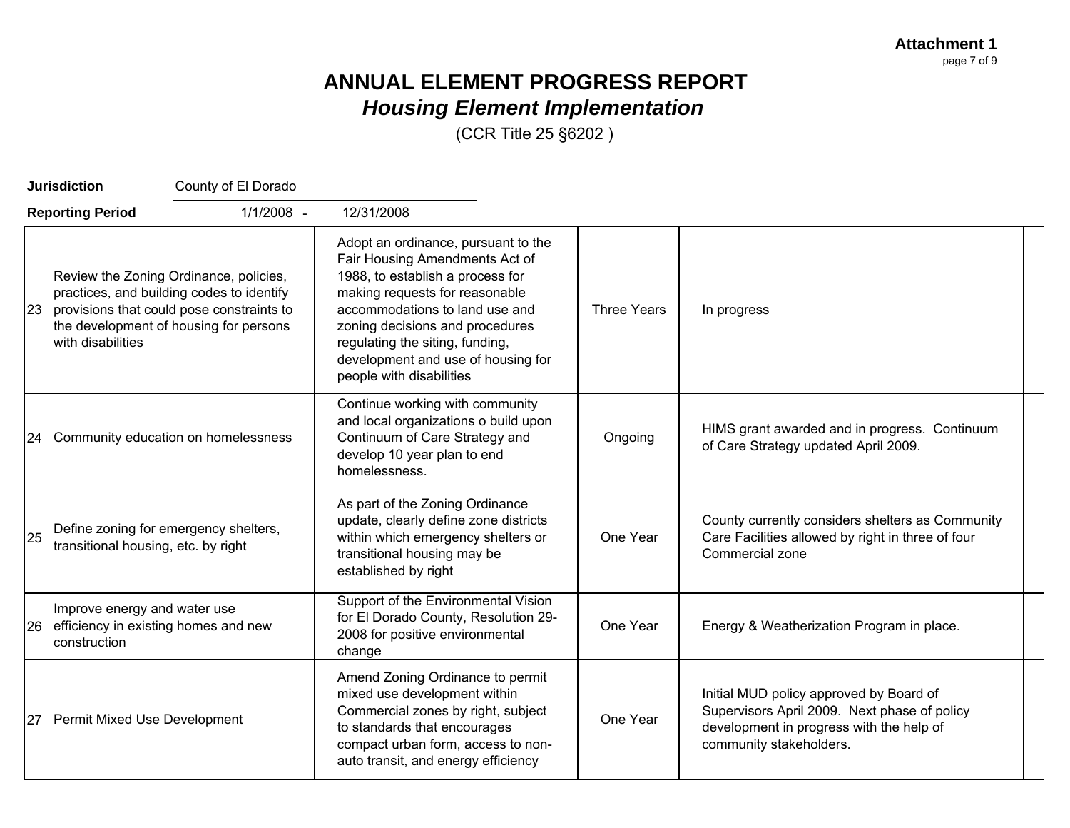|    | <b>Jurisdiction</b>                          | County of El Dorado                                                                                                                                                        |                                                                                                                                                                                                                                                                                                                       |                    |                                                                                                                                                                |
|----|----------------------------------------------|----------------------------------------------------------------------------------------------------------------------------------------------------------------------------|-----------------------------------------------------------------------------------------------------------------------------------------------------------------------------------------------------------------------------------------------------------------------------------------------------------------------|--------------------|----------------------------------------------------------------------------------------------------------------------------------------------------------------|
|    | <b>Reporting Period</b>                      | 1/1/2008 -                                                                                                                                                                 | 12/31/2008                                                                                                                                                                                                                                                                                                            |                    |                                                                                                                                                                |
| 23 | with disabilities                            | Review the Zoning Ordinance, policies,<br>practices, and building codes to identify<br>provisions that could pose constraints to<br>the development of housing for persons | Adopt an ordinance, pursuant to the<br>Fair Housing Amendments Act of<br>1988, to establish a process for<br>making requests for reasonable<br>accommodations to land use and<br>zoning decisions and procedures<br>regulating the siting, funding,<br>development and use of housing for<br>people with disabilities | <b>Three Years</b> | In progress                                                                                                                                                    |
| 24 |                                              | Community education on homelessness                                                                                                                                        | Continue working with community<br>and local organizations o build upon<br>Continuum of Care Strategy and<br>develop 10 year plan to end<br>homelessness.                                                                                                                                                             | Ongoing            | HIMS grant awarded and in progress. Continuum<br>of Care Strategy updated April 2009.                                                                          |
| 25 | transitional housing, etc. by right          | Define zoning for emergency shelters,                                                                                                                                      | As part of the Zoning Ordinance<br>update, clearly define zone districts<br>within which emergency shelters or<br>transitional housing may be<br>established by right                                                                                                                                                 | One Year           | County currently considers shelters as Community<br>Care Facilities allowed by right in three of four<br>Commercial zone                                       |
| 26 | Improve energy and water use<br>construction | efficiency in existing homes and new                                                                                                                                       | Support of the Environmental Vision<br>for El Dorado County, Resolution 29-<br>2008 for positive environmental<br>change                                                                                                                                                                                              | One Year           | Energy & Weatherization Program in place.                                                                                                                      |
| 27 | Permit Mixed Use Development                 |                                                                                                                                                                            | Amend Zoning Ordinance to permit<br>mixed use development within<br>Commercial zones by right, subject<br>to standards that encourages<br>compact urban form, access to non-<br>auto transit, and energy efficiency                                                                                                   | One Year           | Initial MUD policy approved by Board of<br>Supervisors April 2009. Next phase of policy<br>development in progress with the help of<br>community stakeholders. |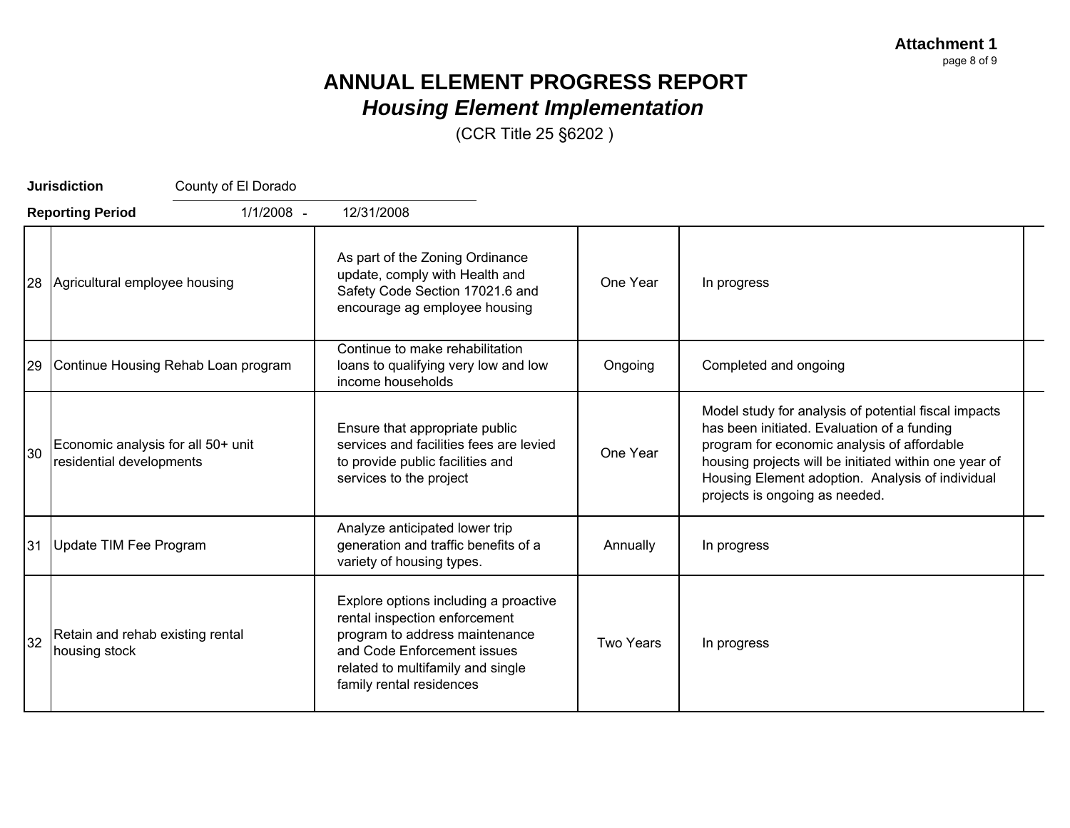**Attachment 1** page 8 of 9

# **ANNUAL ELEMENT PROGRESS REPORT** *Housing Element Implementation*

|    | <b>Jurisdiction</b><br>County of El Dorado                     |                                                                                                                                                                                                          |                  |                                                                                                                                                                                                                                                                                                   |
|----|----------------------------------------------------------------|----------------------------------------------------------------------------------------------------------------------------------------------------------------------------------------------------------|------------------|---------------------------------------------------------------------------------------------------------------------------------------------------------------------------------------------------------------------------------------------------------------------------------------------------|
|    | 1/1/2008 -<br><b>Reporting Period</b>                          | 12/31/2008                                                                                                                                                                                               |                  |                                                                                                                                                                                                                                                                                                   |
| 28 | Agricultural employee housing                                  | As part of the Zoning Ordinance<br>update, comply with Health and<br>Safety Code Section 17021.6 and<br>encourage ag employee housing                                                                    |                  | In progress                                                                                                                                                                                                                                                                                       |
| 29 | Continue Housing Rehab Loan program                            | Continue to make rehabilitation<br>loans to qualifying very low and low<br>income households                                                                                                             | Ongoing          | Completed and ongoing                                                                                                                                                                                                                                                                             |
| 30 | Economic analysis for all 50+ unit<br>residential developments | Ensure that appropriate public<br>services and facilities fees are levied<br>to provide public facilities and<br>services to the project                                                                 | One Year         | Model study for analysis of potential fiscal impacts<br>has been initiated. Evaluation of a funding<br>program for economic analysis of affordable<br>housing projects will be initiated within one year of<br>Housing Element adoption. Analysis of individual<br>projects is ongoing as needed. |
| 31 | Update TIM Fee Program                                         | Analyze anticipated lower trip<br>generation and traffic benefits of a<br>variety of housing types.                                                                                                      | Annually         | In progress                                                                                                                                                                                                                                                                                       |
| 32 | Retain and rehab existing rental<br>housing stock              | Explore options including a proactive<br>rental inspection enforcement<br>program to address maintenance<br>and Code Enforcement issues<br>related to multifamily and single<br>family rental residences | <b>Two Years</b> | In progress                                                                                                                                                                                                                                                                                       |